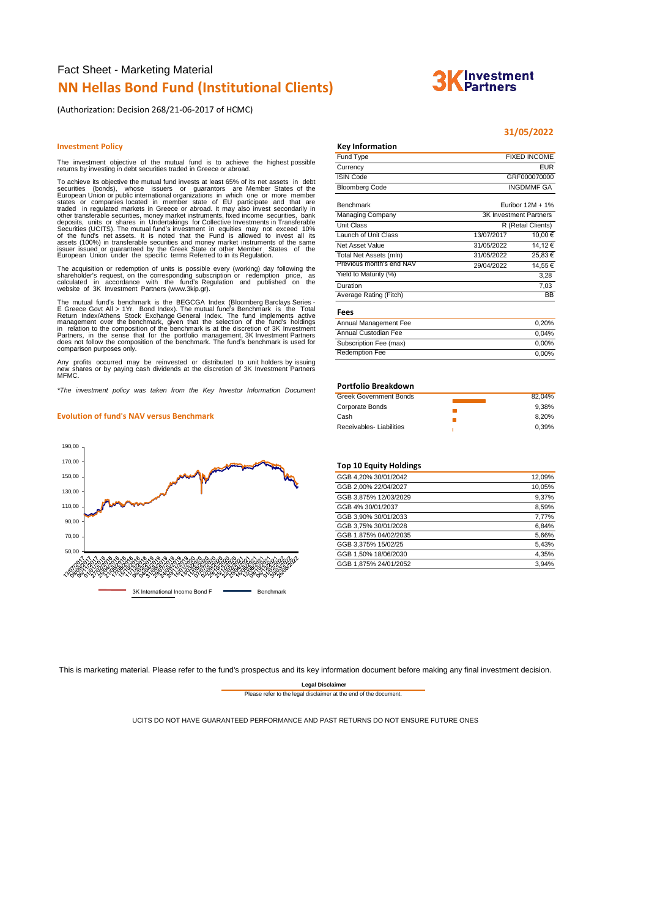# Fact Sheet - Marketing Material **NN Hellas Bond Fund (Institutional Clients)**

(Authorization: Decision 268/21-06-2017 of HCMC)

## **Investment Policy CONSUMING THE CONSUMING TENS**

The investment objective of the mutual fund is to achieve the highest possible returns by investing in debt securities traded in Greece or abroad.

To achieve its objective the mutual fund invests at least 65% of its net assets in debtive<br>securities (bonds), whose issuers or guarantors are Member States of the<br>European Union or public international organizations in wh **Investment Policy**<br>
The investment objective of the mutual fund is to achieve the highest possible<br>
The investment objective in thus literative states at least 65% of its net assess in debt<br>
To achieve its solective the m

The acquisition or redemption of units is possible every (working) day following the<br>shareholder's request, on the corresponding subscription or redemption price, as<br>calculated in accordance with the fund's Regulation and

The mutual fund's benchmark is the BEGCGA Index (Bloomberg Barclays Series<br>E Greece Govt All > 1Yr. Bond Index). The mutual fund's Benchmark is the Total<br>Return Index/Athens Stock Exchange General Index. The fund implement comparison purposes only.

Any profits occurred may be reinvested or distributed to unit holders by issuing new shares or by paying cash dividends at the discretion of 3K Investment Partners MFMC.

*\*The investment policy was taken from the Key Investor Information Document*

## **Evolution of fund's NAV versus Benchmark**



| <b>Rey Information</b> |                     |
|------------------------|---------------------|
| Fund Type              | <b>FIXED INCOME</b> |
| Currency               | <b>EUR</b>          |
| <b>ISIN Code</b>       | GRF000070000        |
| <b>Bloomberg Code</b>  | <b>INGDMMF GA</b>   |
| <b>Benchmark</b>       | Euribor $12M + 1\%$ |
| . .<br>$\sim$          | $- \cdot -$         |

| Managing Company         | <b>3K Investment Partners</b> |                    |  |  |
|--------------------------|-------------------------------|--------------------|--|--|
| Unit Class               |                               | R (Retail Clients) |  |  |
| Launch of Unit Class     | 13/07/2017                    | 10.00€             |  |  |
| Net Asset Value          | 31/05/2022                    | 14.12€             |  |  |
| Total Net Assets (mln)   | 31/05/2022                    | 25.83€             |  |  |
| Previous month's end NAV | 29/04/2022                    | 14.55€             |  |  |
| Yield to Maturity (%)    |                               | 3,28               |  |  |
| Duration                 |                               | 7,03               |  |  |
| Average Rating (Fitch)   |                               | <b>BB</b>          |  |  |

#### **Fees**

| Annual Management Fee  | 0.20% |
|------------------------|-------|
| Annual Custodian Fee   | 0.04% |
| Subscription Fee (max) | 0.00% |
| Redemption Fee         | 0.00% |

## **Portfolio Breakdown**

| <b>Greek Government Bonds</b> | 82.04% |
|-------------------------------|--------|
| Corporate Bonds               | 9.38%  |
| Cash                          | 8.20%  |
| Receivables-Liabilities       | 0.39%  |

### **Top 10 Equity Holdings**

| GGB 4,20% 30/01/2042  | 12,09% |
|-----------------------|--------|
| GGB 2,00% 22/04/2027  | 10,05% |
| GGB 3,875% 12/03/2029 | 9.37%  |
| GGB 4% 30/01/2037     | 8,59%  |
| GGB 3,90% 30/01/2033  | 7.77%  |
| GGB 3.75% 30/01/2028  | 6.84%  |
| GGB 1.875% 04/02/2035 | 5,66%  |
| GGB 3,375% 15/02/25   | 5,43%  |
| GGB 1,50% 18/06/2030  | 4,35%  |
| GGB 1,875% 24/01/2052 | 3.94%  |
|                       |        |

This is marketing material. Please refer to the fund's prospectus and its key information document before making any final investment decision.

**Legal Disclaimer**

Please refer to the legal disclaimer at the end of the document.

UCITS DO NOT HAVE GUARANTEED PERFORMANCE AND PAST RETURNS DO NOT ENSURE FUTURE ONES

# **31/05/2022**

**Investment** artners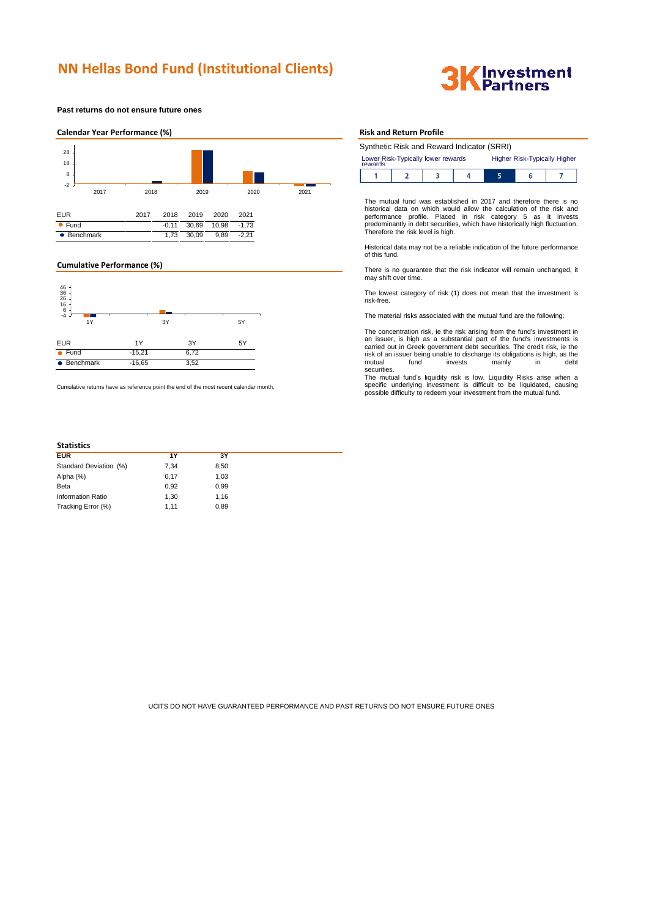# **NN Hellas Bond Fund (Institutional Clients)**



**Past returns do not ensure future ones**



## **Cumulative Performance (%)**



Cumulative returns have as reference point the end of the most recent calendar month.

Tracking Error (%) 1,11 0,89

# **EUR 1Y 3Y** Standard Deviation (%) 7,34 8,50 Alpha (%) 0,17 1,03 Beta 0,92 0,99 Information Ratio 1,30 1,16 **Statistics** *0AO0AO*

## **Risk and Return Profile**

|                                               | Synthetic Risk and Reward Indicator (SRRI) |  |  |  |                                     |  |  |
|-----------------------------------------------|--------------------------------------------|--|--|--|-------------------------------------|--|--|
| Lower Risk-Typically lower rewards<br>rewards |                                            |  |  |  | <b>Higher Risk-Typically Higher</b> |  |  |
|                                               |                                            |  |  |  |                                     |  |  |

The mutual fund was established in 2017 and therefore there is no historical data on which would allow the calculation of the risk and<br>performance profile. Placed in risk category 5 as it invests<br>predominantly in debt securities, which have historically high fluctuation.<br>Therefore the ri

Historical data may not be a reliable indication of the future performance of this fund.

There is no guarantee that the risk indicator will remain unchanged, it may shift over time.

Τhe lowest category of risk (1) does not mean that the investment is risk-free.

The material risks associated with the mutual fund are the following:

The concentration risk, ie the risk arising from the fund's investment in<br>an issuer, is high as a substantial part of the fund's investments is<br>carried out in Greek government debt securities. The credit risk, ie the<br>risk securities.

The mutual fund's liquidity risk is low. Liquidity Risks arise when a<br>specific underlying investment is difficult to be liquidated, causing<br>possible difficulty to redeem your investment from the mutual fund.

UCITS DO NOT HAVE GUARANTEED PERFORMANCE AND PAST RETURNS DO NOT ENSURE FUTURE ONES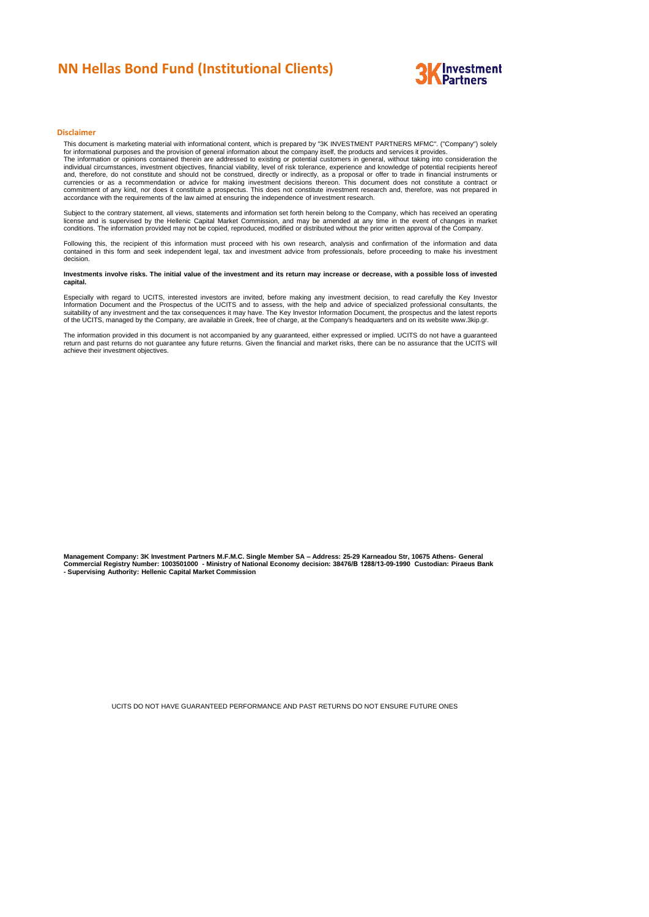# **NN Hellas Bond Fund (Institutional Clients)**



#### **Disclaimer**

This document is marketing material with informational content, which is prepared by "3K INVESTMENT PARTNERS MFMC". ("Company") solely for informational purposes and the provision of general information about the company itself, the products and services it provides.<br>The information or opinions contained therein are addressed to existing or potential cust individual circumstances, investment objectives, financial viability, level of risk tolerance, experience and knowledge of potential recipients hereof<br>and, therefore, do not constitute and should not be construed, directly accordance with the requirements of the law aimed at ensuring the independence of investment research.

Subject to the contrary statement, all views, statements and information set forth herein belong to the Company, which has received an operating<br>license and is supervised by the Hellenic Capital Market Commission, and may conditions. The information provided may not be copied, reproduced, modified or distributed without the prior written approval of the Company.

Following this, the recipient of this information must proceed with his own research, analysis and confirmation of the information and data contained in this form and seek independent legal, tax and investment advice from professionals, before proceeding to make his investment decision.

### Investments involve risks. The initial value of the investment and its return may increase or decrease, with a possible loss of invested **capital.**

Especially with regard to UCITS, interested investors are invited, before making any investment decision, to read carefully the Key Investor<br>Information Document and the Prospectus of the UCITS and to assess, with the help of the UCITS, managed by the Company, are available in Greek, free of charge, at the Company's headquarters and on its website www.3kip.gr.

The information provided in this document is not accompanied by any guaranteed, either expressed or implied. UCITS do not have a guaranteed return and past returns do not guarantee any future returns. Given the financial and market risks, there can be no assurance that the UCITS will achieve their investment objectives.

Management Company: 3K Investment Partners M.F.M.C. Single Member SA – Address: 25-29 Karneadou Str, 10675 Athens- General<br>Commercial Registry Number: 1003501000 - Ministry of National Economy decision: 38476/B 1288/13-09-

UCITS DO NOT HAVE GUARANTEED PERFORMANCE AND PAST RETURNS DO NOT ENSURE FUTURE ONES